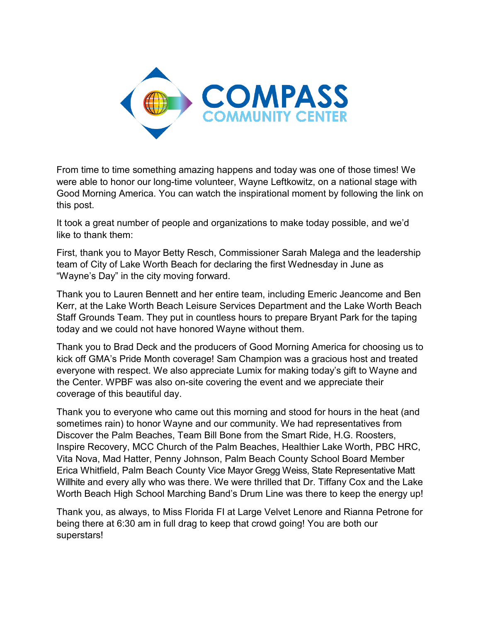

From time to time something amazing happens and today was one of those times! We were able to honor our long-time volunteer, Wayne Leftkowitz, on a national stage with Good Morning America. You can watch the inspirational moment by following the link on this post.

It took a great number of people and organizations to make today possible, and we'd like to thank them:

First, thank you to Mayor Betty Resch, Commissioner Sarah Malega and the leadership team of City of Lake Worth Beach for declaring the first Wednesday in June as "Wayne's Day" in the city moving forward.

Thank you to Lauren Bennett and her entire team, including Emeric Jeancome and Ben Kerr, at the Lake Worth Beach Leisure Services Department and the Lake Worth Beach Staff Grounds Team. They put in countless hours to prepare Bryant Park for the taping today and we could not have honored Wayne without them.

Thank you to Brad Deck and the producers of Good Morning America for choosing us to kick off GMA's Pride Month coverage! Sam Champion was a gracious host and treated everyone with respect. We also appreciate Lumix for making today's gift to Wayne and the Center. WPBF was also on-site covering the event and we appreciate their coverage of this beautiful day.

Thank you to everyone who came out this morning and stood for hours in the heat (and sometimes rain) to honor Wayne and our community. We had representatives from Discover the Palm Beaches, Team Bill Bone from the Smart Ride, H.G. Roosters, Inspire Recovery, MCC Church of the Palm Beaches, Healthier Lake Worth, PBC HRC, Vita Nova, Mad Hatter, Penny Johnson, Palm Beach County School Board Member Erica Whitfield, Palm Beach County Vice Mayor Gregg Weiss, State Representative Matt Willhite and every ally who was there. We were thrilled that Dr. Tiffany Cox and the Lake Worth Beach High School Marching Band's Drum Line was there to keep the energy up!

Thank you, as always, to Miss Florida FI at Large Velvet Lenore and Rianna Petrone for being there at 6:30 am in full drag to keep that crowd going! You are both our superstars!